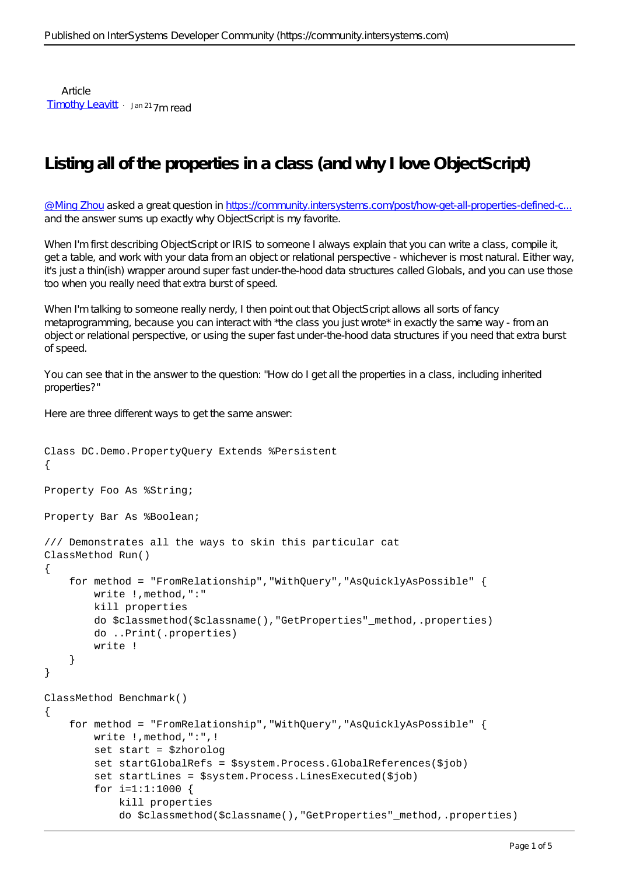Article [Timothy Leavitt](https://community.intersystems.com/user/timothy-leavitt) Jan 21 7m read

## **Listing all of the properties in a class (and why I love ObjectScript)**

@ Ming Zhou asked a great question in https://community.intersystems.com/post/how-get-all-properties-defined-c. and the answer sums up exactly why ObjectScript is my favorite.

When I'm first describing ObjectScript or IRIS to someone I always explain that you can write a class, compile it, get a table, and work with your data from an object or relational perspective - whichever is most natural. Either way, it's just a thin(ish) wrapper around super fast under-the-hood data structures called Globals, and you can use those too when you really need that extra burst of speed.

When I'm talking to someone really nerdy, I then point out that ObjectScript allows all sorts of fancy metaprogramming, because you can interact with \*the class you just wrote\* in exactly the same way - from an object or relational perspective, or using the super fast under-the-hood data structures if you need that extra burst of speed.

You can see that in the answer to the question: "How do I get all the properties in a class, including inherited properties?"

Here are three different ways to get the same answer:

```
Class DC.Demo.PropertyQuery Extends %Persistent
{
Property Foo As %String;
Property Bar As %Boolean;
/// Demonstrates all the ways to skin this particular cat
ClassMethod Run()
{
     for method = "FromRelationship","WithQuery","AsQuicklyAsPossible" {
         write !,method,":"
         kill properties
         do $classmethod($classname(),"GetProperties"_method,.properties)
         do ..Print(.properties)
         write !
     }
}
ClassMethod Benchmark()
{
     for method = "FromRelationship","WithQuery","AsQuicklyAsPossible" {
         write !,method,":",!
         set start = $zhorolog
         set startGlobalRefs = $system.Process.GlobalReferences($job)
         set startLines = $system.Process.LinesExecuted($job)
         for i=1:1:1000 {
             kill properties
             do $classmethod($classname(),"GetProperties"_method,.properties)
```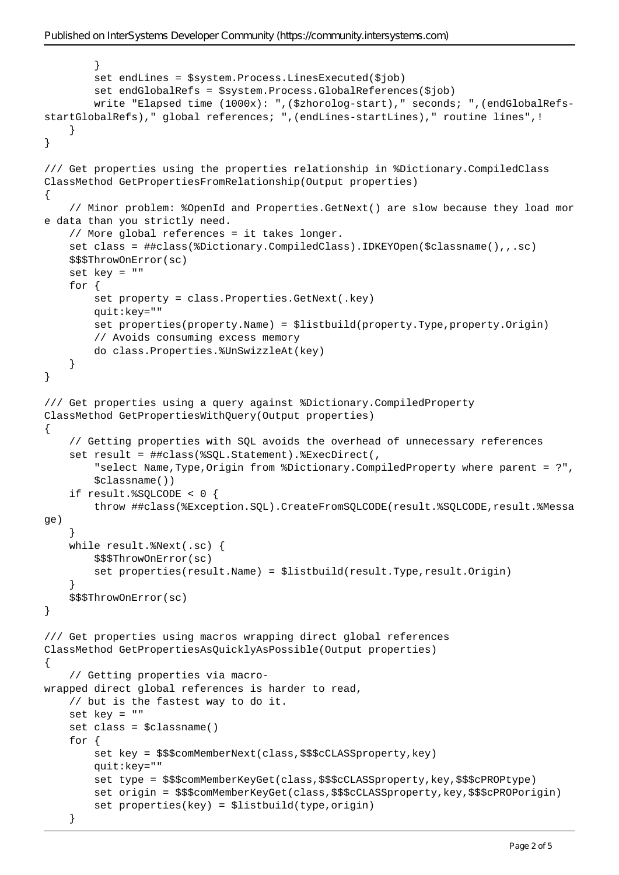```
 }
         set endLines = $system.Process.LinesExecuted($job)
         set endGlobalRefs = $system.Process.GlobalReferences($job)
         write "Elapsed time (1000x): ",($zhorolog-start)," seconds; ",(endGlobalRefs-
startGlobalRefs)," global references; ",(endLines-startLines)," routine lines",!
     }
}
/// Get properties using the properties relationship in %Dictionary.CompiledClass
ClassMethod GetPropertiesFromRelationship(Output properties)
{
     // Minor problem: %OpenId and Properties.GetNext() are slow because they load mor
e data than you strictly need.
     // More global references = it takes longer.
     set class = ##class(%Dictionary.CompiledClass).IDKEYOpen($classname(),,.sc)
     $$$ThrowOnError(sc)
     set key = ""
     for {
         set property = class.Properties.GetNext(.key)
         quit:key=""
         set properties(property.Name) = $listbuild(property.Type,property.Origin)
         // Avoids consuming excess memory
         do class.Properties.%UnSwizzleAt(key)
     }
}
/// Get properties using a query against %Dictionary.CompiledProperty
ClassMethod GetPropertiesWithQuery(Output properties)
{
     // Getting properties with SQL avoids the overhead of unnecessary references
     set result = ##class(%SQL.Statement).%ExecDirect(,
         "select Name,Type,Origin from %Dictionary.CompiledProperty where parent = ?",
         $classname())
     if result.%SQLCODE < 0 {
         throw ##class(%Exception.SQL).CreateFromSQLCODE(result.%SQLCODE,result.%Messa
ge)
     }
     while result.%Next(.sc) {
         $$$ThrowOnError(sc)
         set properties(result.Name) = $listbuild(result.Type,result.Origin)
     }
     $$$ThrowOnError(sc)
}
/// Get properties using macros wrapping direct global references
ClassMethod GetPropertiesAsQuicklyAsPossible(Output properties)
{
     // Getting properties via macro-
wrapped direct global references is harder to read,
     // but is the fastest way to do it.
     set key = ""
     set class = $classname()
     for {
         set key = $$$comMemberNext(class,$$$cCLASSproperty,key)
         quit:key=""
        set type = $$$comMemberKeyGet(class, $$$cCLASSproperty, key, $$$cPROPtype)
         set origin = $$$comMemberKeyGet(class,$$$cCLASSproperty,key,$$$cPROPorigin)
         set properties(key) = $listbuild(type,origin)
     }
```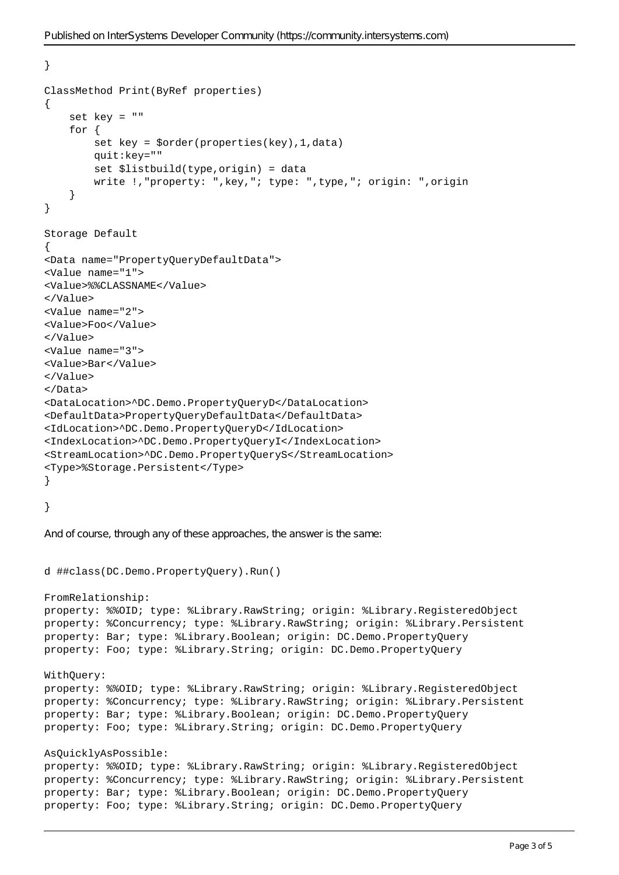}

```
ClassMethod Print(ByRef properties)
\{ set key = ""
     for {
         set key = $order(properties(key),1,data)
         quit:key=""
         set $listbuild(type,origin) = data
         write !,"property: ",key,"; type: ",type,"; origin: ",origin
     }
}
Storage Default
\left\{ \right.<Data name="PropertyQueryDefaultData">
<Value name="1">
<Value>%%CLASSNAME</Value>
</Value>
<Value name="2">
<Value>Foo</Value>
</Value>
<Value name="3">
<Value>Bar</Value>
</Value>
</Data>
<DataLocation>^DC.Demo.PropertyQueryD</DataLocation>
<DefaultData>PropertyQueryDefaultData</DefaultData>
<IdLocation>^DC.Demo.PropertyQueryD</IdLocation>
<IndexLocation>^DC.Demo.PropertyQueryI</IndexLocation>
<StreamLocation>^DC.Demo.PropertyQueryS</StreamLocation>
<Type>%Storage.Persistent</Type>
}
}
And of course, through any of these approaches, the answer is the same:
d ##class(DC.Demo.PropertyQuery).Run()
FromRelationship:
property: %%OID; type: %Library.RawString; origin: %Library.RegisteredObject
property: %Concurrency; type: %Library.RawString; origin: %Library.Persistent
property: Bar; type: %Library.Boolean; origin: DC.Demo.PropertyQuery
property: Foo; type: %Library.String; origin: DC.Demo.PropertyQuery
WithQuery:
property: %%OID; type: %Library.RawString; origin: %Library.RegisteredObject
property: %Concurrency; type: %Library.RawString; origin: %Library.Persistent
property: Bar; type: %Library.Boolean; origin: DC.Demo.PropertyQuery
property: Foo; type: %Library.String; origin: DC.Demo.PropertyQuery
AsQuicklyAsPossible:
property: %%OID; type: %Library.RawString; origin: %Library.RegisteredObject
property: %Concurrency; type: %Library.RawString; origin: %Library.Persistent
property: Bar; type: %Library.Boolean; origin: DC.Demo.PropertyQuery
property: Foo; type: %Library.String; origin: DC.Demo.PropertyQuery
```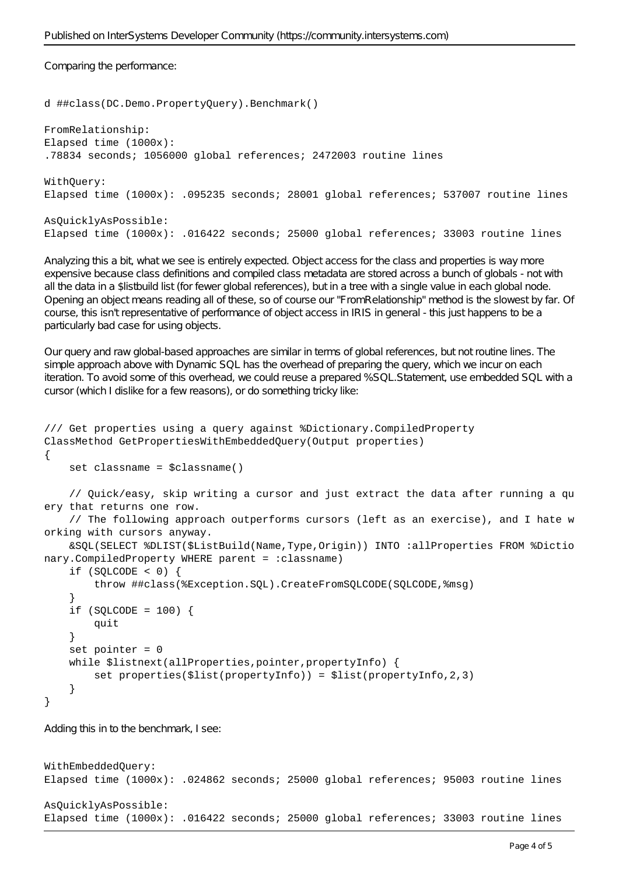Comparing the performance:

```
d ##class(DC.Demo.PropertyQuery).Benchmark()
```

```
FromRelationship:
Elapsed time (1000x): 
.78834 seconds; 1056000 global references; 2472003 routine lines
WithQuery:
Elapsed time (1000x): .095235 seconds; 28001 global references; 537007 routine lines
```

```
AsQuicklyAsPossible:
Elapsed time (1000x): .016422 seconds; 25000 global references; 33003 routine lines
```
Analyzing this a bit, what we see is entirely expected. Object access for the class and properties is way more expensive because class definitions and compiled class metadata are stored across a bunch of globals - not with all the data in a \$listbuild list (for fewer global references), but in a tree with a single value in each global node. Opening an object means reading all of these, so of course our "FromRelationship" method is the slowest by far. Of course, this isn't representative of performance of object access in IRIS in general - this just happens to be a particularly bad case for using objects.

Our query and raw global-based approaches are similar in terms of global references, but not routine lines. The simple approach above with Dynamic SQL has the overhead of preparing the query, which we incur on each iteration. To avoid some of this overhead, we could reuse a prepared %SQL.Statement, use embedded SQL with a cursor (which I dislike for a few reasons), or do something tricky like:

```
/// Get properties using a query against %Dictionary.CompiledProperty
ClassMethod GetPropertiesWithEmbeddedQuery(Output properties)
{
     set classname = $classname()
     // Quick/easy, skip writing a cursor and just extract the data after running a qu
ery that returns one row.
     // The following approach outperforms cursors (left as an exercise), and I hate w
orking with cursors anyway.
     &SQL(SELECT %DLIST($ListBuild(Name,Type,Origin)) INTO :allProperties FROM %Dictio
nary.CompiledProperty WHERE parent = : classname)
    if (SQLCODE < 0) {
         throw ##class(%Exception.SQL).CreateFromSQLCODE(SQLCODE,%msg)
     }
    if (SQLCODE = 100) {
         quit
     }
     set pointer = 0
    while $listnext(allProperties,pointer,propertyInfo) {
         set properties($list(propertyInfo)) = $list(propertyInfo,2,3)
     }
}
Adding this in to the benchmark, I see:
```

```
WithEmbeddedQuery:
Elapsed time (1000x): .024862 seconds; 25000 global references; 95003 routine lines
AsQuicklyAsPossible:
Elapsed time (1000x): .016422 seconds; 25000 global references; 33003 routine lines
```